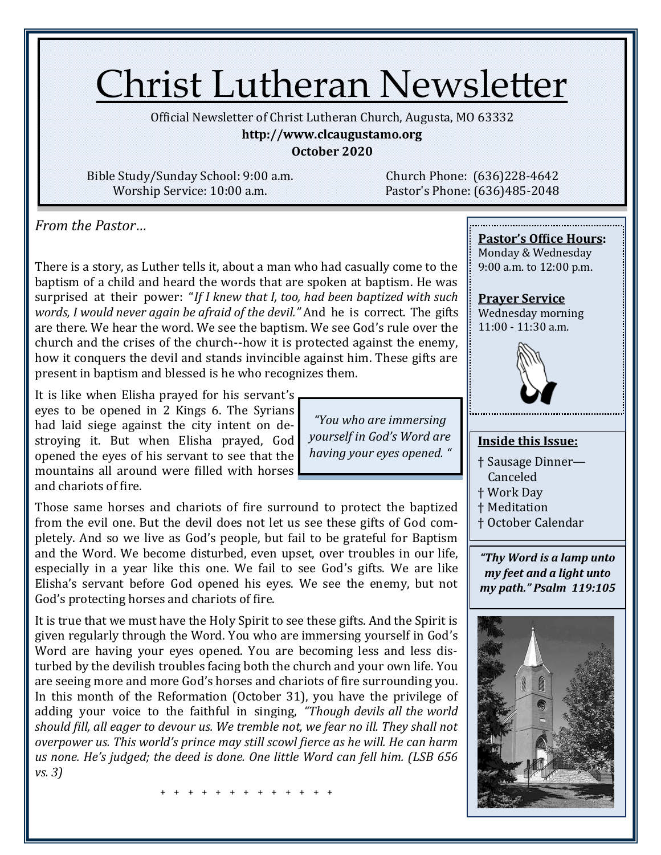# Christ Lutheran Newsletter

Official Newsletter of Christ Lutheran Church, Augusta, MO 63332

**http://www.clcaugustamo.org**

**October 2020**

Bible Study/Sunday School: 9:00 a.m. Worship Service: 10:00 a.m.

Church Phone: (636)228-4642 Pastor's Phone: (636)485-2048

*From the Pastor…* 

There is a story, as Luther tells it, about a man who had casually come to the baptism of a child and heard the words that are spoken at baptism. He was surprised at their power: "*If I knew that I, too, had been baptized with such words, I would never again be afraid of the devil."* And he is correct. The gifts are there. We hear the word. We see the baptism. We see God's rule over the church and the crises of the church--how it is protected against the enemy, how it conquers the devil and stands invincible against him. These gifts are present in baptism and blessed is he who recognizes them.

It is like when Elisha prayed for his servant's eyes to be opened in 2 Kings 6. The Syrians had laid siege against the city intent on destroying it. But when Elisha prayed, God opened the eyes of his servant to see that the mountains all around were filled with horses and chariots of fire.

*"You who are immersing yourself in God's Word are having your eyes opened. "*

Those same horses and chariots of fire surround to protect the baptized from the evil one. But the devil does not let us see these gifts of God completely. And so we live as God's people, but fail to be grateful for Baptism and the Word. We become disturbed, even upset, over troubles in our life, especially in a year like this one. We fail to see God's gifts. We are like Elisha's servant before God opened his eyes. We see the enemy, but not God's protecting horses and chariots of fire.

It is true that we must have the Holy Spirit to see these gifts. And the Spirit is given regularly through the Word. You who are immersing yourself in God's Word are having your eyes opened. You are becoming less and less disturbed by the devilish troubles facing both the church and your own life. You are seeing more and more God's horses and chariots of fire surrounding you. In this month of the Reformation (October 31), you have the privilege of adding your voice to the faithful in singing, *"Though devils all the world should fill, all eager to devour us. We tremble not, we fear no ill. They shall not overpower us. This world's prince may still scowl fierce as he will. He can harm us none. He's judged; the deed is done. One little Word can fell him. (LSB 656 vs. 3)* 

+ + + + + + + + + + + + +